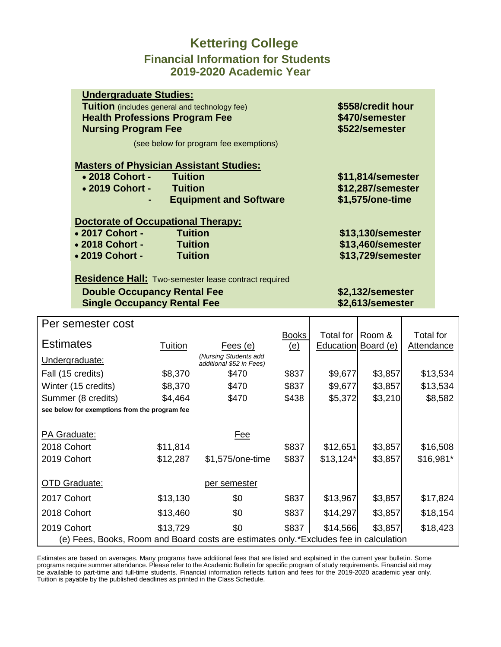### **Kettering College Financial Information for Students 2019-2020 Academic Year**

| <b>Undergraduate Studies:</b>                        |                   |  |  |  |  |  |
|------------------------------------------------------|-------------------|--|--|--|--|--|
| <b>Tuition</b> (includes general and technology fee) | \$558/credit hour |  |  |  |  |  |
| <b>Health Professions Program Fee</b>                | \$470/semester    |  |  |  |  |  |
| <b>Nursing Program Fee</b>                           | \$522/semester    |  |  |  |  |  |
| (see below for program fee exemptions)               |                   |  |  |  |  |  |
| <b>Masters of Physician Assistant Studies:</b>       |                   |  |  |  |  |  |
| • 2018 Cohort - Tuition                              | \$11,814/semester |  |  |  |  |  |
| • 2019 Cohort -<br><b>Tuition</b>                    | \$12,287/semester |  |  |  |  |  |
| <b>Equipment and Software</b>                        | \$1,575/one-time  |  |  |  |  |  |
|                                                      |                   |  |  |  |  |  |
| <b>Doctorate of Occupational Therapy:</b>            |                   |  |  |  |  |  |
| • 2017 Cohort -<br><b>Tuition</b>                    | \$13,130/semester |  |  |  |  |  |
| • 2018 Cohort -<br><b>Tuition</b>                    | \$13,460/semester |  |  |  |  |  |
| • 2019 Cohort -<br><b>Tuition</b>                    | \$13,729/semester |  |  |  |  |  |
|                                                      |                   |  |  |  |  |  |

**Residence Hall:** Two-semester lease contract required

#### **Double Occupancy Rental Fee \$2,132/semester Single Occupancy Rental Fee \$2,613/semester**

| Per semester cost                                                                     |          |                                                   |              |                  |           |                   |
|---------------------------------------------------------------------------------------|----------|---------------------------------------------------|--------------|------------------|-----------|-------------------|
|                                                                                       |          |                                                   | <b>Books</b> | Total for        | Room &    | <b>Total for</b>  |
| <b>Estimates</b>                                                                      | Tuition  | Fees (e)                                          | <u>(e)</u>   | <b>Education</b> | Board (e) | <b>Attendance</b> |
| Undergraduate:                                                                        |          | (Nursing Students add<br>additional \$52 in Fees) |              |                  |           |                   |
| Fall (15 credits)                                                                     | \$8,370  | \$470                                             | \$837        | \$9,677          | \$3,857   | \$13,534          |
| Winter (15 credits)                                                                   | \$8,370  | \$470                                             | \$837        | \$9,677          | \$3,857   | \$13,534          |
| Summer (8 credits)                                                                    | \$4,464  | \$470                                             | \$438        | \$5,372          | \$3,210   | \$8,582           |
| see below for exemptions from the program fee                                         |          |                                                   |              |                  |           |                   |
|                                                                                       |          |                                                   |              |                  |           |                   |
| PA Graduate:<br>Fee                                                                   |          |                                                   |              |                  |           |                   |
| 2018 Cohort                                                                           | \$11,814 |                                                   | \$837        | \$12,651         | \$3,857   | \$16,508          |
| 2019 Cohort                                                                           | \$12,287 | \$1,575/one-time                                  | \$837        | $$13,124*$       | \$3,857   | \$16,981*         |
|                                                                                       |          |                                                   |              |                  |           |                   |
| <b>OTD Graduate:</b>                                                                  |          | per semester                                      |              |                  |           |                   |
| 2017 Cohort                                                                           | \$13,130 | \$0                                               | \$837        | \$13,967         | \$3,857   | \$17,824          |
| 2018 Cohort                                                                           | \$13,460 | \$0                                               | \$837        | \$14,297         | \$3,857   | \$18,154          |
| 2019 Cohort                                                                           | \$13,729 | \$0                                               | \$837        | \$14,566         | \$3,857   | \$18,423          |
| (e) Fees, Books, Room and Board costs are estimates only.*Excludes fee in calculation |          |                                                   |              |                  |           |                   |

Estimates are based on averages. Many programs have additional fees that are listed and explained in the current year bulletin. Some programs require summer attendance. Please refer to the Academic Bulletin for specific program of study requirements. Financial aid may be available to part-time and full-time students. Financial information reflects tuition and fees for the 2019-2020 academic year only. Tuition is payable by the published deadlines as printed in the Class Schedule.